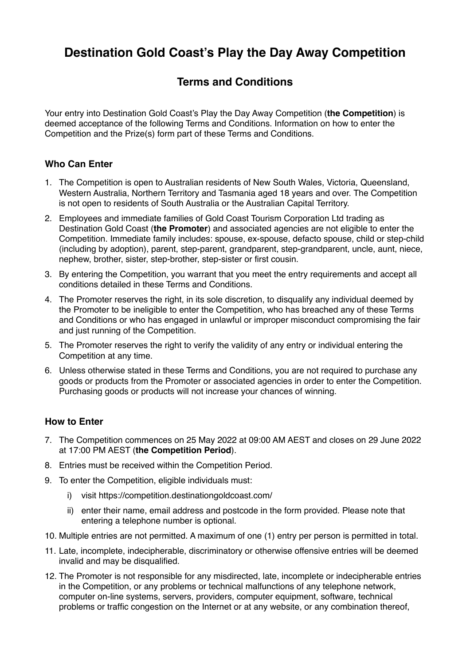# **Destination Gold Coast's Play the Day Away Competition**

# **Terms and Conditions**

Your entry into Destination Gold Coast's Play the Day Away Competition (**the Competition**) is deemed acceptance of the following Terms and Conditions. Information on how to enter the Competition and the Prize(s) form part of these Terms and Conditions.

# **Who Can Enter**

- 1. The Competition is open to Australian residents of New South Wales, Victoria, Queensland, Western Australia, Northern Territory and Tasmania aged 18 years and over. The Competition is not open to residents of South Australia or the Australian Capital Territory.
- 2. Employees and immediate families of Gold Coast Tourism Corporation Ltd trading as Destination Gold Coast (**the Promoter**) and associated agencies are not eligible to enter the Competition. Immediate family includes: spouse, ex-spouse, defacto spouse, child or step-child (including by adoption), parent, step-parent, grandparent, step-grandparent, uncle, aunt, niece, nephew, brother, sister, step-brother, step-sister or first cousin.
- 3. By entering the Competition, you warrant that you meet the entry requirements and accept all conditions detailed in these Terms and Conditions.
- 4. The Promoter reserves the right, in its sole discretion, to disqualify any individual deemed by the Promoter to be ineligible to enter the Competition, who has breached any of these Terms and Conditions or who has engaged in unlawful or improper misconduct compromising the fair and just running of the Competition.
- 5. The Promoter reserves the right to verify the validity of any entry or individual entering the Competition at any time.
- 6. Unless otherwise stated in these Terms and Conditions, you are not required to purchase any goods or products from the Promoter or associated agencies in order to enter the Competition. Purchasing goods or products will not increase your chances of winning.

#### **How to Enter**

- 7. The Competition commences on 25 May 2022 at 09:00 AM AEST and closes on 29 June 2022 at 17:00 PM AEST (**the Competition Period**).
- 8. Entries must be received within the Competition Period.
- 9. To enter the Competition, eligible individuals must:
	- i) visit https://competition.destinationgoldcoast.com/
	- ii) enter their name, email address and postcode in the form provided. Please note that entering a telephone number is optional.
- 10. Multiple entries are not permitted. A maximum of one (1) entry per person is permitted in total.
- 11. Late, incomplete, indecipherable, discriminatory or otherwise offensive entries will be deemed invalid and may be disqualified.
- 12. The Promoter is not responsible for any misdirected, late, incomplete or indecipherable entries in the Competition, or any problems or technical malfunctions of any telephone network, computer on-line systems, servers, providers, computer equipment, software, technical problems or traffic congestion on the Internet or at any website, or any combination thereof,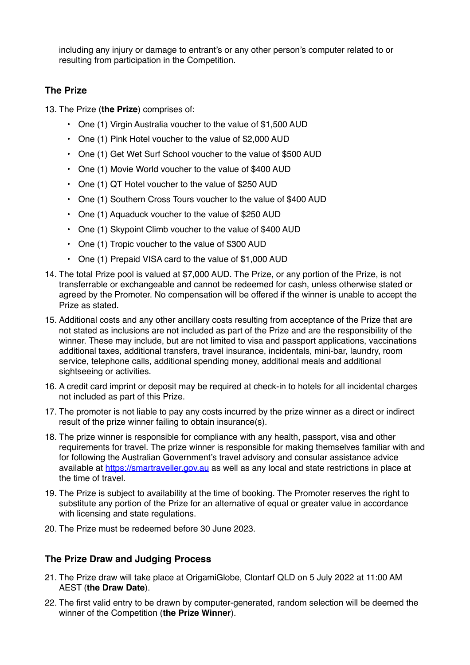including any injury or damage to entrant's or any other person's computer related to or resulting from participation in the Competition.

# **The Prize**

13. The Prize (**the Prize**) comprises of:

- One (1) Virgin Australia voucher to the value of \$1,500 AUD
- One (1) Pink Hotel voucher to the value of \$2,000 AUD
- One (1) Get Wet Surf School voucher to the value of \$500 AUD
- One (1) Movie World voucher to the value of \$400 AUD
- One (1) QT Hotel voucher to the value of \$250 AUD
- One (1) Southern Cross Tours voucher to the value of \$400 AUD
- One (1) Aquaduck voucher to the value of \$250 AUD
- One (1) Skypoint Climb voucher to the value of \$400 AUD
- One (1) Tropic voucher to the value of \$300 AUD
- One (1) Prepaid VISA card to the value of \$1,000 AUD
- 14. The total Prize pool is valued at \$7,000 AUD. The Prize, or any portion of the Prize, is not transferrable or exchangeable and cannot be redeemed for cash, unless otherwise stated or agreed by the Promoter. No compensation will be offered if the winner is unable to accept the Prize as stated.
- 15. Additional costs and any other ancillary costs resulting from acceptance of the Prize that are not stated as inclusions are not included as part of the Prize and are the responsibility of the winner. These may include, but are not limited to visa and passport applications, vaccinations additional taxes, additional transfers, travel insurance, incidentals, mini-bar, laundry, room service, telephone calls, additional spending money, additional meals and additional sightseeing or activities.
- 16. A credit card imprint or deposit may be required at check-in to hotels for all incidental charges not included as part of this Prize.
- 17. The promoter is not liable to pay any costs incurred by the prize winner as a direct or indirect result of the prize winner failing to obtain insurance(s).
- 18. The prize winner is responsible for compliance with any health, passport, visa and other requirements for travel. The prize winner is responsible for making themselves familiar with and for following the Australian Government's travel advisory and consular assistance advice available at [https://smartraveller.gov.au](https://smartraveller.gov.au/) as well as any local and state restrictions in place at the time of travel.
- 19. The Prize is subject to availability at the time of booking. The Promoter reserves the right to substitute any portion of the Prize for an alternative of equal or greater value in accordance with licensing and state regulations.
- 20. The Prize must be redeemed before 30 June 2023.

#### **The Prize Draw and Judging Process**

- 21. The Prize draw will take place at OrigamiGlobe, Clontarf QLD on 5 July 2022 at 11:00 AM AEST (**the Draw Date**).
- 22. The first valid entry to be drawn by computer-generated, random selection will be deemed the winner of the Competition (**the Prize Winner**).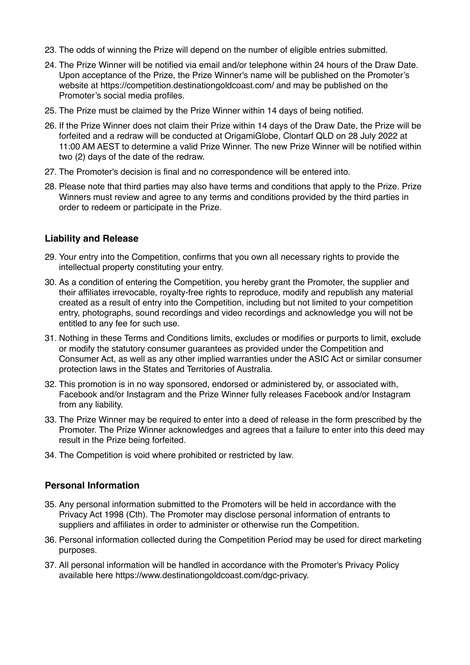- 23. The odds of winning the Prize will depend on the number of eligible entries submitted.
- 24. The Prize Winner will be notified via email and/or telephone within 24 hours of the Draw Date. Upon acceptance of the Prize, the Prize Winner's name will be published on the Promoter's website at https://competition.destinationgoldcoast.com/ and may be published on the Promoter's social media profiles.
- 25. The Prize must be claimed by the Prize Winner within 14 days of being notified.
- 26. If the Prize Winner does not claim their Prize within 14 days of the Draw Date, the Prize will be forfeited and a redraw will be conducted at OrigamiGlobe, Clontarf QLD on 28 July 2022 at 11:00 AM AEST to determine a valid Prize Winner. The new Prize Winner will be notified within two (2) days of the date of the redraw.
- 27. The Promoter's decision is final and no correspondence will be entered into.
- 28. Please note that third parties may also have terms and conditions that apply to the Prize. Prize Winners must review and agree to any terms and conditions provided by the third parties in order to redeem or participate in the Prize.

#### **Liability and Release**

- 29. Your entry into the Competition, confirms that you own all necessary rights to provide the intellectual property constituting your entry.
- 30. As a condition of entering the Competition, you hereby grant the Promoter, the supplier and their affiliates irrevocable, royalty-free rights to reproduce, modify and republish any material created as a result of entry into the Competition, including but not limited to your competition entry, photographs, sound recordings and video recordings and acknowledge you will not be entitled to any fee for such use.
- 31. Nothing in these Terms and Conditions limits, excludes or modifies or purports to limit, exclude or modify the statutory consumer guarantees as provided under the Competition and Consumer Act, as well as any other implied warranties under the ASIC Act or similar consumer protection laws in the States and Territories of Australia.
- 32. This promotion is in no way sponsored, endorsed or administered by, or associated with, Facebook and/or Instagram and the Prize Winner fully releases Facebook and/or Instagram from any liability.
- 33. The Prize Winner may be required to enter into a deed of release in the form prescribed by the Promoter. The Prize Winner acknowledges and agrees that a failure to enter into this deed may result in the Prize being forfeited.
- 34. The Competition is void where prohibited or restricted by law.

#### **Personal Information**

- 35. Any personal information submitted to the Promoters will be held in accordance with the Privacy Act 1998 (Cth). The Promoter may disclose personal information of entrants to suppliers and affiliates in order to administer or otherwise run the Competition.
- 36. Personal information collected during the Competition Period may be used for direct marketing purposes.
- 37. All personal information will be handled in accordance with the Promoter's Privacy Policy available here https://www.destinationgoldcoast.com/dgc-privacy.